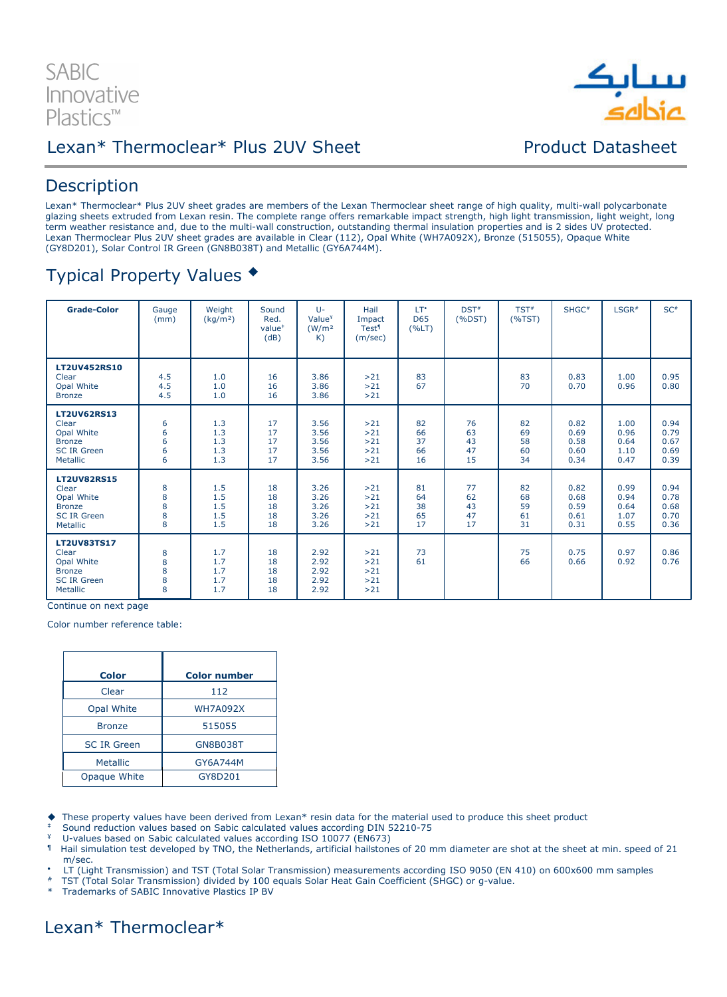



## **Description**

Lexan\* Thermoclear\* Plus 2UV sheet grades are members of the Lexan Thermoclear sheet range of high quality, multi-wall polycarbonate glazing sheets extruded from Lexan resin. The complete range offers remarkable impact strength, high light transmission, light weight, long term weather resistance and, due to the multi-wall construction, outstanding thermal insulation properties and is 2 sides UV protected. Lexan Thermoclear Plus 2UV sheet grades are available in Clear (112), Opal White (WH7A092X), Bronze (515055), Opaque White (GY8D201), Solar Control IR Green (GN8B038T) and Metallic (GY6A744M).

## Typical Property Values

| <b>Grade-Color</b>                                                                           | Gauge<br>(mm)         | Weight<br>(kg/m <sup>2</sup> )  | Sound<br>Red.<br>value <sup>#</sup><br>(dB) | $U -$<br>Value <sup>¥</sup><br>(W/m <sup>2</sup> )<br>K) | Hail<br>Impact<br>Test <sup>1</sup><br>(m/sec) | LT*<br><b>D65</b><br>(%LT) | $DST^*$<br>(%DST)          | TST <sup>#</sup><br>(%TST) | SHGC <sup>#</sup>                    | LSGR#                                | SC#                                  |
|----------------------------------------------------------------------------------------------|-----------------------|---------------------------------|---------------------------------------------|----------------------------------------------------------|------------------------------------------------|----------------------------|----------------------------|----------------------------|--------------------------------------|--------------------------------------|--------------------------------------|
| <b>LT2UV452RS10</b><br>Clear<br>Opal White<br><b>Bronze</b>                                  | 4.5<br>4.5<br>4.5     | 1.0<br>1.0<br>1.0               | 16<br>16<br>16                              | 3.86<br>3.86<br>3.86                                     | >21<br>>21<br>>21                              | 83<br>67                   |                            | 83<br>70                   | 0.83<br>0.70                         | 1.00<br>0.96                         | 0.95<br>0.80                         |
| <b>LT2UV62RS13</b><br>Clear<br>Opal White<br><b>Bronze</b><br><b>SC IR Green</b><br>Metallic | 6<br>6<br>6<br>6<br>6 | 1.3<br>1.3<br>1.3<br>1.3<br>1.3 | 17<br>17<br>17<br>17<br>17                  | 3.56<br>3.56<br>3.56<br>3.56<br>3.56                     | >21<br>>21<br>>21<br>>21<br>>21                | 82<br>66<br>37<br>66<br>16 | 76<br>63<br>43<br>47<br>15 | 82<br>69<br>58<br>60<br>34 | 0.82<br>0.69<br>0.58<br>0.60<br>0.34 | 1.00<br>0.96<br>0.64<br>1.10<br>0.47 | 0.94<br>0.79<br>0.67<br>0.69<br>0.39 |
| <b>LT2UV82RS15</b><br>Clear<br>Opal White<br><b>Bronze</b><br><b>SC IR Green</b><br>Metallic | 8<br>8<br>8<br>8<br>8 | 1.5<br>1.5<br>1.5<br>1.5<br>1.5 | 18<br>18<br>18<br>18<br>18                  | 3.26<br>3.26<br>3.26<br>3.26<br>3.26                     | >21<br>>21<br>>21<br>>21<br>>21                | 81<br>64<br>38<br>65<br>17 | 77<br>62<br>43<br>47<br>17 | 82<br>68<br>59<br>61<br>31 | 0.82<br>0.68<br>0.59<br>0.61<br>0.31 | 0.99<br>0.94<br>0.64<br>1.07<br>0.55 | 0.94<br>0.78<br>0.68<br>0.70<br>0.36 |
| <b>LT2UV83TS17</b><br>Clear<br>Opal White<br><b>Bronze</b><br><b>SC IR Green</b><br>Metallic | 8<br>8<br>8<br>8<br>8 | 1.7<br>1.7<br>1.7<br>1.7<br>1.7 | 18<br>18<br>18<br>18<br>18                  | 2.92<br>2.92<br>2.92<br>2.92<br>2.92                     | >21<br>>21<br>>21<br>>21<br>>21                | 73<br>61                   |                            | 75<br>66                   | 0.75<br>0.66                         | 0.97<br>0.92                         | 0.86<br>0.76                         |

Continue on next page

Color number reference table:

| <b>Color</b>       | <b>Color number</b> |
|--------------------|---------------------|
| Clear              | 112                 |
| Opal White         | <b>WH7A092X</b>     |
| <b>Bronze</b>      | 515055              |
| <b>SC IR Green</b> | <b>GN8B038T</b>     |
| <b>Metallic</b>    | GY6A744M            |
| Opaque White       | GY8D201             |

These property values have been derived from Lexan\* resin data for the material used to produce this sheet product

‡ Sound reduction values based on Sabic calculated values according DIN 52210-75

 $\frac{4}{1}$  U-values based on Sabic calculated values according ISO 10077 (EN673)

- Hail simulation test developed by TNO, the Netherlands, artificial hailstones of 20 mm diameter are shot at the sheet at min. speed of 21 m/sec.
- LT (Light Transmission) and TST (Total Solar Transmission) measurements according ISO 9050 (EN 410) on 600x600 mm samples
- # TST (Total Solar Transmission) divided by 100 equals Solar Heat Gain Coefficient (SHGC) or g-value.

\* Trademarks of SABIC Innovative Plastics IP BV

## Lexan\* Thermoclear\*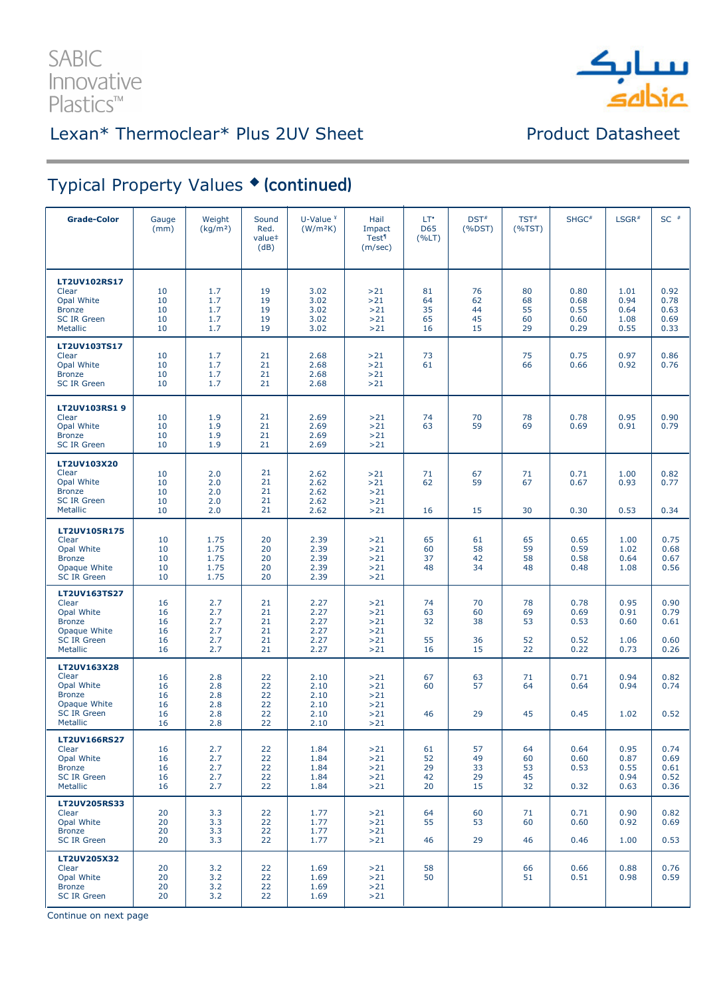

# Typical Property Values • (continued)

| <b>Grade-Color</b>                                                                                           | Gauge<br>(mm)                    | Weight<br>(kg/m <sup>2</sup> )         | Sound<br>Red.<br>value <sup>#</sup><br>(dB) | U-Value $4$<br>(W/m <sup>2</sup> K)          | Hail<br>Impact<br><b>Test<sup>1</sup></b><br>(m/sec) | LT*<br>D65<br>(%LT)        | $DST^*$<br>$(% )^{(1,1,1)}$ (%DST) | $TST^*$<br>(%TST)          | SHGC <sup>#</sup>                    | $LSGR$ #                             | $SC$ $*$                             |
|--------------------------------------------------------------------------------------------------------------|----------------------------------|----------------------------------------|---------------------------------------------|----------------------------------------------|------------------------------------------------------|----------------------------|------------------------------------|----------------------------|--------------------------------------|--------------------------------------|--------------------------------------|
| <b>LT2UV102RS17</b><br>Clear<br>Opal White<br><b>Bronze</b><br><b>SC IR Green</b><br>Metallic                | 10<br>10<br>10<br>10<br>10       | 1.7<br>1.7<br>1.7<br>1.7<br>1.7        | 19<br>19<br>19<br>19<br>19                  | 3.02<br>3.02<br>3.02<br>3.02<br>3.02         | >21<br>>21<br>>21<br>>21<br>$>21$                    | 81<br>64<br>35<br>65<br>16 | 76<br>62<br>44<br>45<br>15         | 80<br>68<br>55<br>60<br>29 | 0.80<br>0.68<br>0.55<br>0.60<br>0.29 | 1.01<br>0.94<br>0.64<br>1.08<br>0.55 | 0.92<br>0.78<br>0.63<br>0.69<br>0.33 |
| LT2UV103TS17<br>Clear<br>Opal White<br><b>Bronze</b><br><b>SC IR Green</b>                                   | 10<br>10<br>10<br>10             | 1.7<br>1.7<br>1.7<br>1.7               | 21<br>21<br>21<br>21                        | 2.68<br>2.68<br>2.68<br>2.68                 | >21<br>>21<br>>21<br>>21                             | 73<br>61                   |                                    | 75<br>66                   | 0.75<br>0.66                         | 0.97<br>0.92                         | 0.86<br>0.76                         |
| <b>LT2UV103RS19</b><br>Clear<br>Opal White<br><b>Bronze</b><br><b>SC IR Green</b>                            | 10<br>10<br>10<br>10             | 1.9<br>1.9<br>1.9<br>1.9               | 21<br>21<br>21<br>21                        | 2.69<br>2.69<br>2.69<br>2.69                 | >21<br>>21<br>>21<br>>21                             | 74<br>63                   | 70<br>59                           | 78<br>69                   | 0.78<br>0.69                         | 0.95<br>0.91                         | 0.90<br>0.79                         |
| LT2UV103X20<br>Clear<br>Opal White<br><b>Bronze</b><br><b>SC IR Green</b><br>Metallic                        | 10<br>10<br>10<br>10<br>10       | 2.0<br>2.0<br>2.0<br>2.0<br>2.0        | 21<br>21<br>21<br>21<br>21                  | 2.62<br>2.62<br>2.62<br>2.62<br>2.62         | >21<br>>21<br>>21<br>>21<br>$>21$                    | 71<br>62<br>16             | 67<br>59<br>15                     | 71<br>67<br>30             | 0.71<br>0.67<br>0.30                 | 1.00<br>0.93<br>0.53                 | 0.82<br>0.77<br>0.34                 |
| <b>LT2UV105R175</b><br>Clear<br>Opal White<br><b>Bronze</b><br>Opaque White<br><b>SC IR Green</b>            | 10<br>10<br>10<br>10<br>10       | 1.75<br>1.75<br>1.75<br>1.75<br>1.75   | 20<br>20<br>20<br>20<br>20                  | 2.39<br>2.39<br>2.39<br>2.39<br>2.39         | >21<br>>21<br>>21<br>>21<br>>21                      | 65<br>60<br>37<br>48       | 61<br>58<br>42<br>34               | 65<br>59<br>58<br>48       | 0.65<br>0.59<br>0.58<br>0.48         | 1.00<br>1.02<br>0.64<br>1.08         | 0.75<br>0.68<br>0.67<br>0.56         |
| LT2UV163TS27<br>Clear<br>Opal White<br><b>Bronze</b><br>Opaque White<br><b>SC IR Green</b><br>Metallic       | 16<br>16<br>16<br>16<br>16<br>16 | 2.7<br>2.7<br>2.7<br>2.7<br>2.7<br>2.7 | 21<br>21<br>21<br>21<br>21<br>21            | 2.27<br>2.27<br>2.27<br>2.27<br>2.27<br>2.27 | >21<br>>21<br>>21<br>>21<br>>21<br>>21               | 74<br>63<br>32<br>55<br>16 | 70<br>60<br>38<br>36<br>15         | 78<br>69<br>53<br>52<br>22 | 0.78<br>0.69<br>0.53<br>0.52<br>0.22 | 0.95<br>0.91<br>0.60<br>1.06<br>0.73 | 0.90<br>0.79<br>0.61<br>0.60<br>0.26 |
| LT2UV163X28<br>Clear<br>Opal White<br><b>Bronze</b><br>Opaque White<br><b>SC IR Green</b><br><b>Metallic</b> | 16<br>16<br>16<br>16<br>16<br>16 | 2.8<br>2.8<br>2.8<br>2.8<br>2.8<br>2.8 | 22<br>22<br>22<br>22<br>22<br>22            | 2.10<br>2.10<br>2.10<br>2.10<br>2.10<br>2.10 | >21<br>>21<br>>21<br>>21<br>>21<br>>21               | 67<br>60<br>46             | 63<br>57<br>29                     | 71<br>64<br>45             | 0.71<br>0.64<br>0.45                 | 0.94<br>0.94<br>1.02                 | 0.82<br>0.74<br>0.52                 |
| <b>LT2UV166RS27</b><br>Clear<br>Opal White<br><b>Bronze</b><br><b>SC IR Green</b><br>Metallic                | 16<br>16<br>16<br>16<br>16       | 2.7<br>2.7<br>2.7<br>2.7<br>2.7        | 22<br>22<br>22<br>22<br>22                  | 1.84<br>1.84<br>1.84<br>1.84<br>1.84         | >21<br>>21<br>>21<br>>21<br>>21                      | 61<br>52<br>29<br>42<br>20 | 57<br>49<br>33<br>29<br>15         | 64<br>60<br>53<br>45<br>32 | 0.64<br>0.60<br>0.53<br>0.32         | 0.95<br>0.87<br>0.55<br>0.94<br>0.63 | 0.74<br>0.69<br>0.61<br>0.52<br>0.36 |
| <b>LT2UV205RS33</b><br>Clear<br>Opal White<br><b>Bronze</b><br><b>SC IR Green</b>                            | 20<br>20<br>20<br>20             | 3.3<br>3.3<br>3.3<br>3.3               | 22<br>22<br>22<br>22                        | 1.77<br>1.77<br>1.77<br>1.77                 | >21<br>>21<br>>21<br>>21                             | 64<br>55<br>46             | 60<br>53<br>29                     | 71<br>60<br>46             | 0.71<br>0.60<br>0.46                 | 0.90<br>0.92<br>1.00                 | 0.82<br>0.69<br>0.53                 |
| LT2UV205X32<br>Clear<br>Opal White<br><b>Bronze</b><br><b>SC IR Green</b>                                    | 20<br>20<br>20<br>20             | 3.2<br>3.2<br>3.2<br>3.2               | 22<br>22<br>22<br>22                        | 1.69<br>1.69<br>1.69<br>1.69                 | >21<br>>21<br>>21<br>>21                             | 58<br>50                   |                                    | 66<br>51                   | 0.66<br>0.51                         | 0.88<br>0.98                         | 0.76<br>0.59                         |

Continue on next page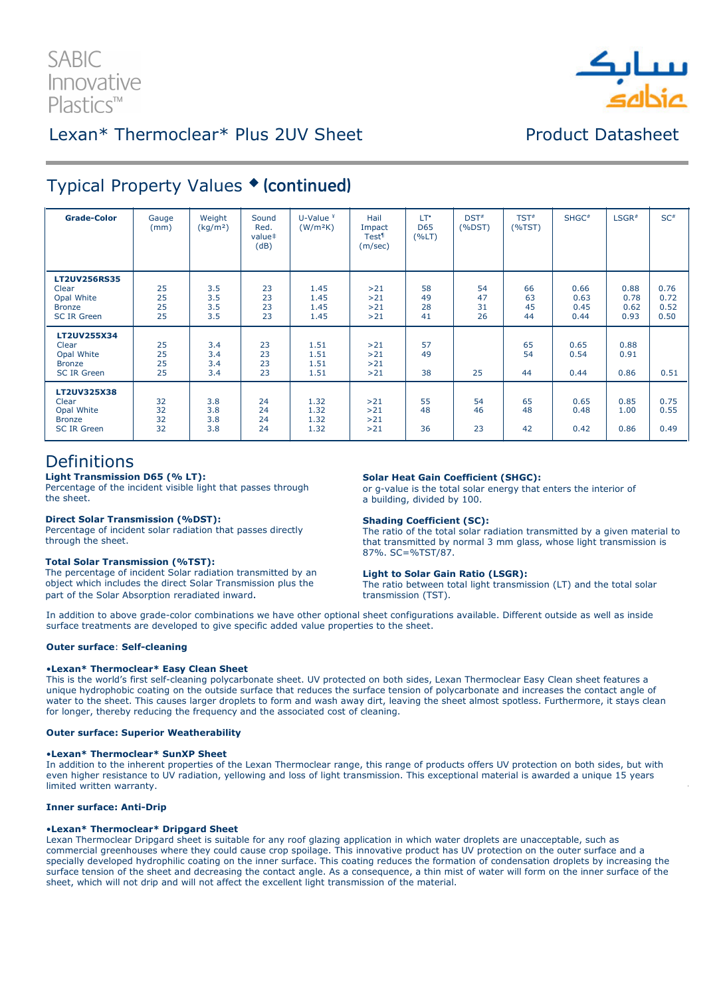# **SABIC** Innovative Plastics™



## Lexan\* Thermoclear\* Plus 2UV Sheet Product Datasheet

## Typical Property Values ♦ (continued)

| <b>Grade-Color</b>                                                                | Gauge<br>(mm)        | Weight<br>(kg/m <sup>2</sup> ) | Sound<br>Red.<br>value <sup>#</sup><br>(dB) | U-Value $4$<br>(W/m <sup>2</sup> K) | Hail<br>Impact<br><b>Test</b> <sup>1</sup><br>(m/sec) | LT*<br>D65<br>(%LT)  | $DST^*$<br>(%DST)    | $TST^*$<br>(%TST)    | $SHGC^*$                     | $LSGR$ <sup>#</sup>          | $SC^*$                       |
|-----------------------------------------------------------------------------------|----------------------|--------------------------------|---------------------------------------------|-------------------------------------|-------------------------------------------------------|----------------------|----------------------|----------------------|------------------------------|------------------------------|------------------------------|
| <b>LT2UV256RS35</b><br>Clear<br>Opal White<br><b>Bronze</b><br><b>SC IR Green</b> | 25<br>25<br>25<br>25 | 3.5<br>3.5<br>3.5<br>3.5       | 23<br>23<br>23<br>23                        | 1.45<br>1.45<br>1.45<br>1.45        | >21<br>>21<br>>21<br>>21                              | 58<br>49<br>28<br>41 | 54<br>47<br>31<br>26 | 66<br>63<br>45<br>44 | 0.66<br>0.63<br>0.45<br>0.44 | 0.88<br>0.78<br>0.62<br>0.93 | 0.76<br>0.72<br>0.52<br>0.50 |
| LT2UV255X34<br>Clear<br>Opal White<br><b>Bronze</b><br><b>SC IR Green</b>         | 25<br>25<br>25<br>25 | 3.4<br>3.4<br>3.4<br>3.4       | 23<br>23<br>23<br>23                        | 1.51<br>1.51<br>1.51<br>1.51        | >21<br>>21<br>>21<br>>21                              | 57<br>49<br>38       | 25                   | 65<br>54<br>44       | 0.65<br>0.54<br>0.44         | 0.88<br>0.91<br>0.86         | 0.51                         |
| <b>LT2UV325X38</b><br>Clear<br>Opal White<br><b>Bronze</b><br><b>SC IR Green</b>  | 32<br>32<br>32<br>32 | 3.8<br>3.8<br>3.8<br>3.8       | 24<br>24<br>24<br>24                        | 1.32<br>1.32<br>1.32<br>1.32        | >21<br>>21<br>>21<br>>21                              | 55<br>48<br>36       | 54<br>46<br>23       | 65<br>48<br>42       | 0.65<br>0.48<br>0.42         | 0.85<br>1.00<br>0.86         | 0.75<br>0.55<br>0.49         |

### Definitions

Light Transmission D65 (% LT): Percentage of the incident visible light that passes through the sheet.

### Direct Solar Transmission (%DST):

Percentage of incident solar radiation that passes directly through the sheet.

### Total Solar Transmission (%TST):

The percentage of incident Solar radiation transmitted by an object which includes the direct Solar Transmission plus the part of the Solar Absorption reradiated inward.

### Solar Heat Gain Coefficient (SHGC):

or g-value is the total solar energy that enters the interior of a building, divided by 100.

### Shading Coefficient (SC):

The ratio of the total solar radiation transmitted by a given material to that transmitted by normal 3 mm glass, whose light transmission is 87%. SC=%TST/87.

### Light to Solar Gain Ratio (LSGR):

The ratio between total light transmission (LT) and the total solar transmission (TST).

In addition to above grade-color combinations we have other optional sheet configurations available. Different outside as well as inside surface treatments are developed to give specific added value properties to the sheet.

### Outer surface: Self-cleaning

### •Lexan\* Thermoclear\* Easy Clean Sheet

This is the world's first self-cleaning polycarbonate sheet. UV protected on both sides, Lexan Thermoclear Easy Clean sheet features a unique hydrophobic coating on the outside surface that reduces the surface tension of polycarbonate and increases the contact angle of water to the sheet. This causes larger droplets to form and wash away dirt, leaving the sheet almost spotless. Furthermore, it stays clean for longer, thereby reducing the frequency and the associated cost of cleaning.

### Outer surface: Superior Weatherability

### •Lexan\* Thermoclear\* SunXP Sheet

In addition to the inherent properties of the Lexan Thermoclear range, this range of products offers UV protection on both sides, but with even higher resistance to UV radiation, yellowing and loss of light transmission. This exceptional material is awarded a unique 15 years limited written warranty.

### Inner surface: Anti-Drip

### •Lexan\* Thermoclear\* Dripgard Sheet

Lexan Thermoclear Dripgard sheet is suitable for any roof glazing application in which water droplets are unacceptable, such as commercial greenhouses where they could cause crop spoilage. This innovative product has UV protection on the outer surface and a specially developed hydrophilic coating on the inner surface. This coating reduces the formation of condensation droplets by increasing the surface tension of the sheet and decreasing the contact angle. As a consequence, a thin mist of water will form on the inner surface of the sheet, which will not drip and will not affect the excellent light transmission of the material.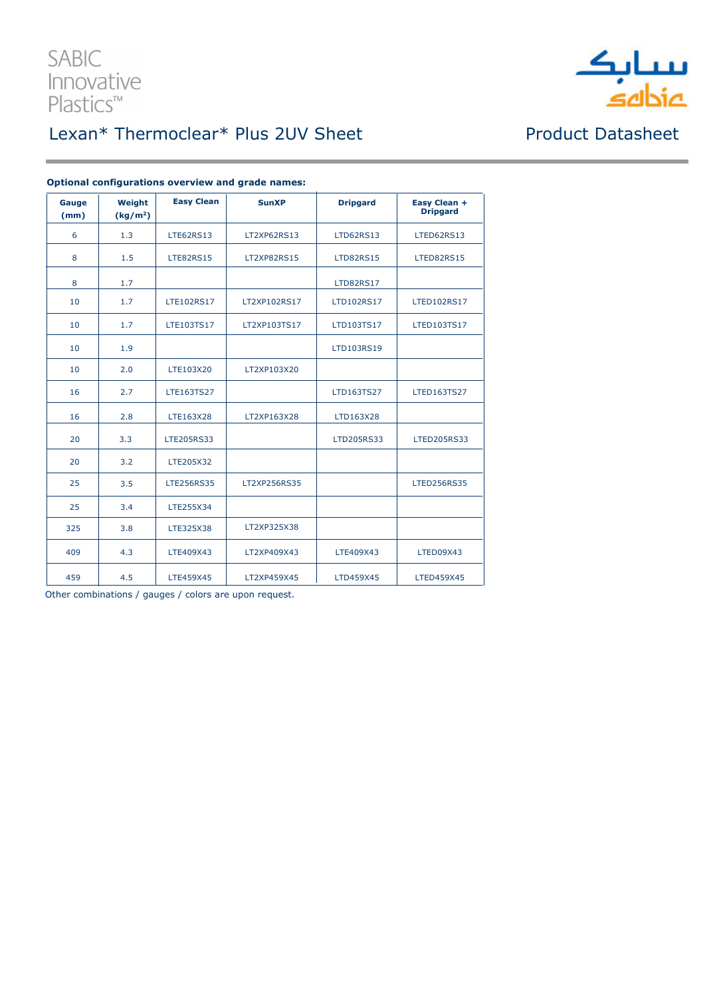

| Gauge<br>(mm) | Weight<br>(kg/m <sup>2</sup> ) | <b>Easy Clean</b> | <b>SunXP</b>       | <b>Dripgard</b>   | Easy Clean +<br><b>Dripgard</b> |
|---------------|--------------------------------|-------------------|--------------------|-------------------|---------------------------------|
| 6             | 1.3                            | <b>LTE62RS13</b>  | LT2XP62RS13        | <b>LTD62RS13</b>  | LTED62RS13                      |
| 8             | 1.5                            | <b>LTE82RS15</b>  | <b>LT2XP82RS15</b> | <b>LTD82RS15</b>  | LTED82RS15                      |
| 8             | 1.7                            |                   |                    | <b>LTD82RS17</b>  |                                 |
| 10            | 1.7                            | <b>LTE102RS17</b> | LT2XP102RS17       | LTD102RS17        | <b>LTED102RS17</b>              |
| 10            | 1.7                            | LTE103TS17        | LT2XP103TS17       | LTD103TS17        | LTED103TS17                     |
| 10            | 1.9                            |                   |                    | LTD103RS19        |                                 |
| 10            | 2.0                            | LTE103X20         | LT2XP103X20        |                   |                                 |
| 16            | 2.7                            | LTE163TS27        |                    | LTD163TS27        | <b>LTED163TS27</b>              |
| 16            | 2.8                            | LTE163X28         | LT2XP163X28        | LTD163X28         |                                 |
| 20            | 3.3                            | LTE205RS33        |                    | <b>LTD205RS33</b> | <b>LTED205RS33</b>              |
| 20            | 3.2                            | LTE205X32         |                    |                   |                                 |
| 25            | 3.5                            | <b>LTE256RS35</b> | LT2XP256RS35       |                   | <b>LTED256RS35</b>              |
| 25            | 3.4                            | LTE255X34         |                    |                   |                                 |
| 325           | 3.8                            | LTE325X38         | LT2XP325X38        |                   |                                 |
| 409           | 4.3                            | LTE409X43         | LT2XP409X43        | LTE409X43         | LTED09X43                       |
| 459           | 4.5                            | LTE459X45         | LT2XP459X45        | LTD459X45         | LTED459X45                      |

### Optional configurations overview and grade names:

Other combinations / gauges / colors are upon request.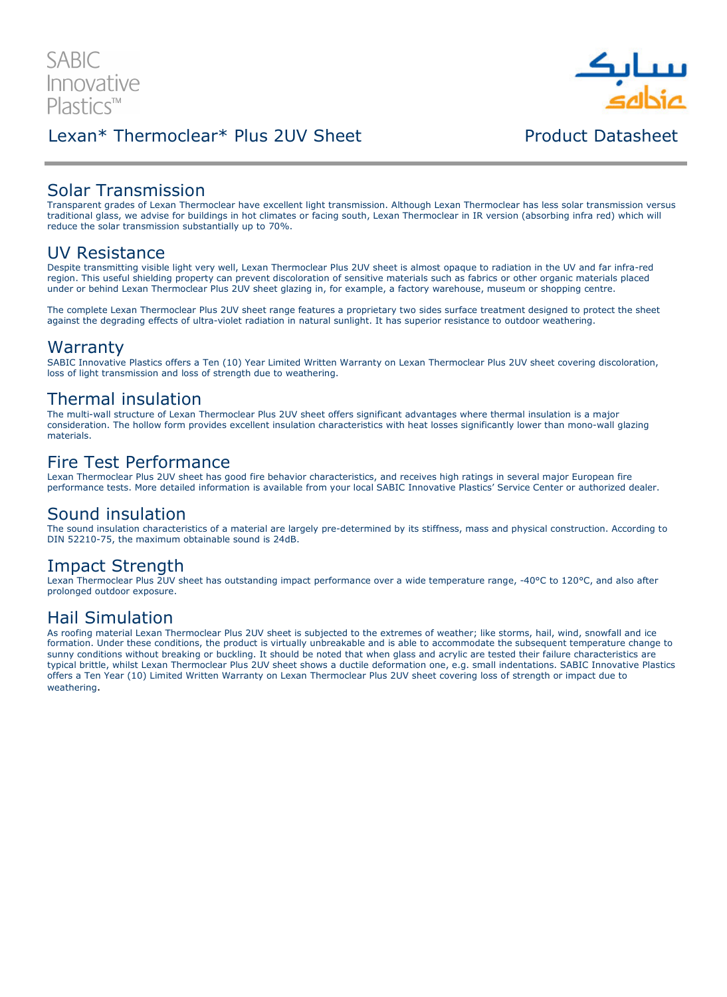## Lexan\* Thermoclear\* Plus 2UV Sheet **Product Datasheet** Product Datashee

## Solar Transmission

Transparent grades of Lexan Thermoclear have excellent light transmission. Although Lexan Thermoclear has less solar transmission versus traditional glass, we advise for buildings in hot climates or facing south, Lexan Thermoclear in IR version (absorbing infra red) which will reduce the solar transmission substantially up to 70%.

### UV Resistance

Despite transmitting visible light very well, Lexan Thermoclear Plus 2UV sheet is almost opaque to radiation in the UV and far infra-red region. This useful shielding property can prevent discoloration of sensitive materials such as fabrics or other organic materials placed under or behind Lexan Thermoclear Plus 2UV sheet glazing in, for example, a factory warehouse, museum or shopping centre.

The complete Lexan Thermoclear Plus 2UV sheet range features a proprietary two sides surface treatment designed to protect the sheet against the degrading effects of ultra-violet radiation in natural sunlight. It has superior resistance to outdoor weathering.

### Warranty

SABIC Innovative Plastics offers a Ten (10) Year Limited Written Warranty on Lexan Thermoclear Plus 2UV sheet covering discoloration, loss of light transmission and loss of strength due to weathering.

### Thermal insulation

The multi-wall structure of Lexan Thermoclear Plus 2UV sheet offers significant advantages where thermal insulation is a major consideration. The hollow form provides excellent insulation characteristics with heat losses significantly lower than mono-wall glazing materials.

### Fire Test Performance

Lexan Thermoclear Plus 2UV sheet has good fire behavior characteristics, and receives high ratings in several major European fire performance tests. More detailed information is available from your local SABIC Innovative Plastics' Service Center or authorized dealer.

### Sound insulation

The sound insulation characteristics of a material are largely pre-determined by its stiffness, mass and physical construction. According to DIN 52210-75, the maximum obtainable sound is 24dB.

## Impact Strength

Lexan Thermoclear Plus 2UV sheet has outstanding impact performance over a wide temperature range, -40°C to 120°C, and also after prolonged outdoor exposure.

## Hail Simulation

As roofing material Lexan Thermoclear Plus 2UV sheet is subjected to the extremes of weather; like storms, hail, wind, snowfall and ice formation. Under these conditions, the product is virtually unbreakable and is able to accommodate the subsequent temperature change to sunny conditions without breaking or buckling. It should be noted that when glass and acrylic are tested their failure characteristics are typical brittle, whilst Lexan Thermoclear Plus 2UV sheet shows a ductile deformation one, e.g. small indentations. SABIC Innovative Plastics offers a Ten Year (10) Limited Written Warranty on Lexan Thermoclear Plus 2UV sheet covering loss of strength or impact due to weathering.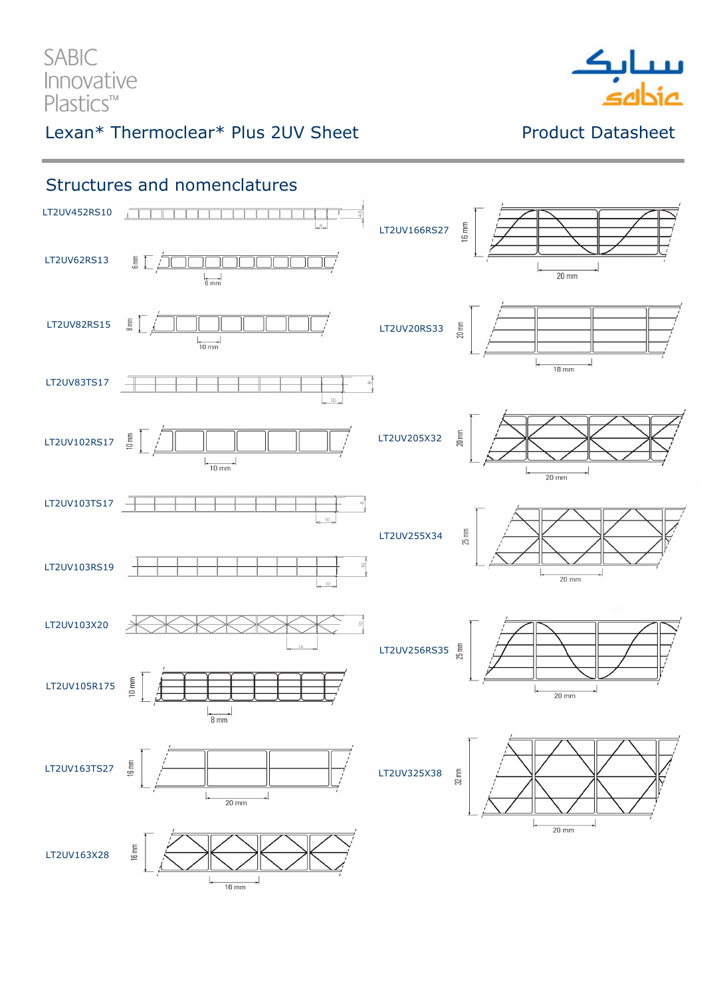SABIC Innovative Plastics<sup>™</sup>

# Lexan\* Thermoclear\* Plus 2UV Sheet Product Datasheet